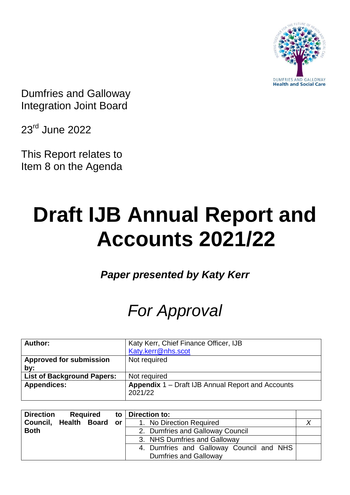

Dumfries and Galloway Integration Joint Board

23rd June 2022

This Report relates to Item 8 on the Agenda

# **Draft IJB Annual Report and Accounts 2021/22**

*Paper presented by Katy Kerr*

# *For Approval*

| Author:                           | Katy Kerr, Chief Finance Officer, IJB                               |
|-----------------------------------|---------------------------------------------------------------------|
|                                   | Katy.kerr@nhs.scot                                                  |
| <b>Approved for submission</b>    | Not required                                                        |
| by:                               |                                                                     |
| <b>List of Background Papers:</b> | Not required                                                        |
| <b>Appendices:</b>                | <b>Appendix 1 – Draft IJB Annual Report and Accounts</b><br>2021/22 |

| <b>Direction</b> | <b>Required</b> |      | to   Direction to:                       |  |
|------------------|-----------------|------|------------------------------------------|--|
| Council, Health  | <b>Board</b>    | or l | 1. No Direction Required                 |  |
| <b>Both</b>      |                 |      | 2. Dumfries and Galloway Council         |  |
|                  |                 |      | 3. NHS Dumfries and Galloway             |  |
|                  |                 |      | 4. Dumfries and Galloway Council and NHS |  |
|                  |                 |      | <b>Dumfries and Galloway</b>             |  |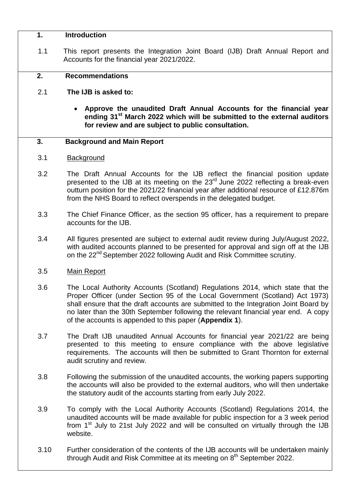#### **1. Introduction**

1.1 This report presents the Integration Joint Board (IJB) Draft Annual Report and Accounts for the financial year 2021/2022.

#### **2. Recommendations**

- 2.1 **The IJB is asked to:**
	- **Approve the unaudited Draft Annual Accounts for the financial year ending 31st March 2022 which will be submitted to the external auditors for review and are subject to public consultation.**

#### **3. Background and Main Report**

- 3.1 Background
- 3.2 The Draft Annual Accounts for the IJB reflect the financial position update presented to the IJB at its meeting on the  $23<sup>rd</sup>$  June 2022 reflecting a break-even outturn position for the 2021/22 financial year after additional resource of £12.876m from the NHS Board to reflect overspends in the delegated budget.
- 3.3 The Chief Finance Officer, as the section 95 officer, has a requirement to prepare accounts for the IJB.
- 3.4 All figures presented are subject to external audit review during July/August 2022, with audited accounts planned to be presented for approval and sign off at the IJB on the 22<sup>nd</sup> September 2022 following Audit and Risk Committee scrutiny.

#### 3.5 Main Report

- 3.6 The Local Authority Accounts (Scotland) Regulations 2014, which state that the Proper Officer (under Section 95 of the Local Government (Scotland) Act 1973) shall ensure that the draft accounts are submitted to the Integration Joint Board by no later than the 30th September following the relevant financial year end. A copy of the accounts is appended to this paper (**Appendix 1**).
- 3.7 The Draft IJB unaudited Annual Accounts for financial year 2021/22 are being presented to this meeting to ensure compliance with the above legislative requirements. The accounts will then be submitted to Grant Thornton for external audit scrutiny and review.
- 3.8 Following the submission of the unaudited accounts, the working papers supporting the accounts will also be provided to the external auditors, who will then undertake the statutory audit of the accounts starting from early July 2022.
- 3.9 To comply with the Local Authority Accounts (Scotland) Regulations 2014, the unaudited accounts will be made available for public inspection for a 3 week period from  $1<sup>st</sup>$  July to 21st July 2022 and will be consulted on virtually through the IJB website.
- 3.10 Further consideration of the contents of the IJB accounts will be undertaken mainly through Audit and Risk Committee at its meeting on 8<sup>th</sup> September 2022.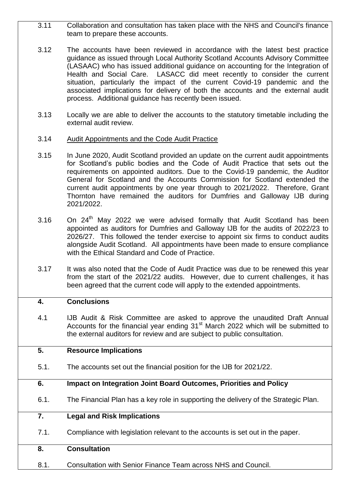- 3.11 Collaboration and consultation has taken place with the NHS and Council's finance team to prepare these accounts.
- 3.12 The accounts have been reviewed in accordance with the latest best practice guidance as issued through Local Authority Scotland Accounts Advisory Committee (LASAAC) who has issued additional guidance on accounting for the Integration of Health and Social Care. LASACC did meet recently to consider the current situation, particularly the impact of the current Covid-19 pandemic and the associated implications for delivery of both the accounts and the external audit process. Additional guidance has recently been issued.
- 3.13 Locally we are able to deliver the accounts to the statutory timetable including the external audit review.
- 3.14 Audit Appointments and the Code Audit Practice
- 3.15 In June 2020, Audit Scotland provided an update on the current audit appointments for Scotland's public bodies and the Code of Audit Practice that sets out the requirements on appointed auditors. Due to the Covid-19 pandemic, the Auditor General for Scotland and the Accounts Commission for Scotland extended the current audit appointments by one year through to 2021/2022. Therefore, Grant Thornton have remained the auditors for Dumfries and Galloway IJB during 2021/2022.
- 3.16 On  $24<sup>th</sup>$  May 2022 we were advised formally that Audit Scotland has been appointed as auditors for Dumfries and Galloway IJB for the audits of 2022/23 to 2026/27. This followed the tender exercise to appoint six firms to conduct audits alongside Audit Scotland. All appointments have been made to ensure compliance with the Ethical Standard and Code of Practice.
- 3.17 It was also noted that the Code of Audit Practice was due to be renewed this year from the start of the 2021/22 audits. However, due to current challenges, it has been agreed that the current code will apply to the extended appointments.

# **4. Conclusions**

4.1 IJB Audit & Risk Committee are asked to approve the unaudited Draft Annual Accounts for the financial year ending  $31<sup>st</sup>$  March 2022 which will be submitted to the external auditors for review and are subject to public consultation.

# **5. Resource Implications**

5.1. The accounts set out the financial position for the IJB for 2021/22.

# **6. Impact on Integration Joint Board Outcomes, Priorities and Policy**

6.1. The Financial Plan has a key role in supporting the delivery of the Strategic Plan.

# **7. Legal and Risk Implications**

7.1. Compliance with legislation relevant to the accounts is set out in the paper.

# **8. Consultation**

8.1. Consultation with Senior Finance Team across NHS and Council.